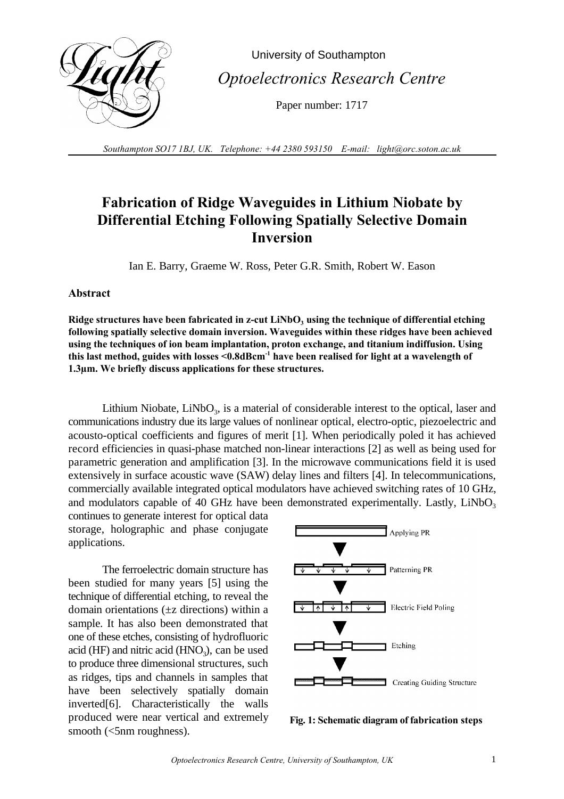

 University of Southampton  *Optoelectronics Research Centre*

Paper number: 1717

*Southampton SO17 1BJ, UK. Telephone: +44 2380 593150 E-mail: light@orc.soton.ac.uk*

## **Fabrication of Ridge Waveguides in Lithium Niobate by Differential Etching Following Spatially Selective Domain Inversion**

Ian E. Barry, Graeme W. Ross, Peter G.R. Smith, Robert W. Eason

## **Abstract**

**Ridge structures have been fabricated in z-cut LiNbO<sup>3</sup> using the technique of differential etching following spatially selective domain inversion. Waveguides within these ridges have been achieved using the techniques of ion beam implantation, proton exchange, and titanium indiffusion. Using** this last method, guides with losses <0.8dBcm<sup>-1</sup> have been realised for light at a wavelength of **1.3µm. We briefly discuss applications for these structures.**

Lithium Niobate,  $LiNbO<sub>3</sub>$ , is a material of considerable interest to the optical, laser and communications industry due its large values of nonlinear optical, electro-optic, piezoelectric and acousto-optical coefficients and figures of merit [1]. When periodically poled it has achieved record efficiencies in quasi-phase matched non-linear interactions [2] as well as being used for parametric generation and amplification [3]. In the microwave communications field it is used extensively in surface acoustic wave (SAW) delay lines and filters [4]. In telecommunications, commercially available integrated optical modulators have achieved switching rates of 10 GHz, and modulators capable of 40 GHz have been demonstrated experimentally. Lastly, LiNbO<sub>3</sub>

continues to generate interest for optical data storage, holographic and phase conjugate applications.

The ferroelectric domain structure has been studied for many years [5] using the technique of differential etching, to reveal the domain orientations (±z directions) within a sample. It has also been demonstrated that one of these etches, consisting of hydrofluoric acid (HF) and nitric acid  $(HNO<sub>3</sub>)$ , can be used to produce three dimensional structures, such as ridges, tips and channels in samples that have been selectively spatially domain inverted[6]. Characteristically the walls produced were near vertical and extremely smooth (<5nm roughness).



**Fig. 1: Schematic diagram of fabrication steps**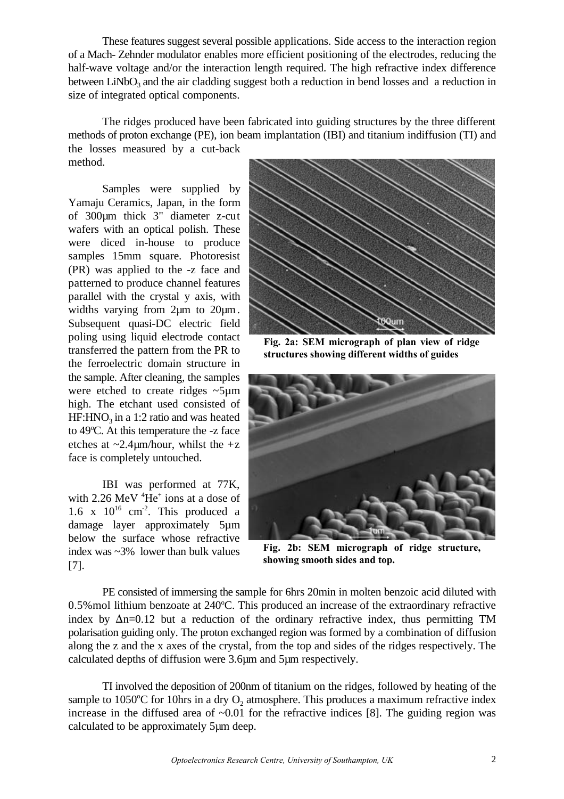These features suggest several possible applications. Side access to the interaction region of a Mach- Zehnder modulator enables more efficient positioning of the electrodes, reducing the half-wave voltage and/or the interaction length required. The high refractive index difference between LiNbO<sub>3</sub> and the air cladding suggest both a reduction in bend losses and a reduction in size of integrated optical components.

The ridges produced have been fabricated into guiding structures by the three different methods of proton exchange (PE), ion beam implantation (IBI) and titanium indiffusion (TI) and the losses measured by a cut-back method.

Samples were supplied by Yamaju Ceramics, Japan, in the form of 300µm thick 3" diameter z-cut wafers with an optical polish. These were diced in-house to produce samples 15mm square. Photoresist (PR) was applied to the -z face and patterned to produce channel features parallel with the crystal y axis, with widths varying from 2 $\mu$ m to 20 $\mu$ m. Subsequent quasi-DC electric field poling using liquid electrode contact transferred the pattern from the PR to the ferroelectric domain structure in the sample. After cleaning, the samples were etched to create ridges ~5µm high. The etchant used consisted of  $HF: HNO<sub>3</sub>$  in a 1:2 ratio and was heated to  $49^{\circ}$ C. At this temperature the  $-z$  face etches at  $\sim$ 2.4 $\mu$ m/hour, whilst the +z face is completely untouched.

IBI was performed at 77K, with  $2.26 \text{ MeV } ^4\text{He}^+$  ions at a dose of 1.6 x  $10^{16}$  cm<sup>-2</sup>. This produced a damage layer approximately 5µm below the surface whose refractive index was ~3% lower than bulk values [7].



**Fig. 2a: SEM micrograph of plan view of ridge structures showing different widths of guides**



**Fig. 2b: SEM micrograph of ridge structure, showing smooth sides and top.**

PE consisted of immersing the sample for 6hrs 20min in molten benzoic acid diluted with 0.5% mol lithium benzoate at 240°C. This produced an increase of the extraordinary refractive index by  $\Delta$ n=0.12 but a reduction of the ordinary refractive index, thus permitting TM polarisation guiding only. The proton exchanged region was formed by a combination of diffusion along the z and the x axes of the crystal, from the top and sides of the ridges respectively. The calculated depths of diffusion were 3.6µm and 5µm respectively.

TI involved the deposition of 200nm of titanium on the ridges, followed by heating of the sample to 1050°C for 10hrs in a dry  $O_2$  atmosphere. This produces a maximum refractive index increase in the diffused area of  $\sim 0.01$  for the refractive indices [8]. The guiding region was calculated to be approximately 5µm deep.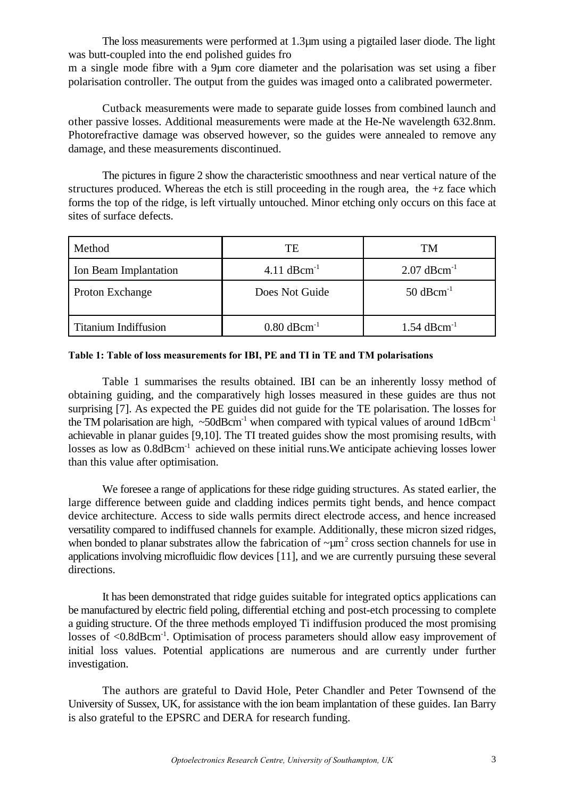The loss measurements were performed at 1.3µm using a pigtailed laser diode. The light was butt-coupled into the end polished guides fro

m a single mode fibre with a 9µm core diameter and the polarisation was set using a fiber polarisation controller. The output from the guides was imaged onto a calibrated powermeter.

Cutback measurements were made to separate guide losses from combined launch and other passive losses. Additional measurements were made at the He-Ne wavelength 632.8nm. Photorefractive damage was observed however, so the guides were annealed to remove any damage, and these measurements discontinued.

The pictures in figure 2 show the characteristic smoothness and near vertical nature of the structures produced. Whereas the etch is still proceeding in the rough area, the  $+z$  face which forms the top of the ridge, is left virtually untouched. Minor etching only occurs on this face at sites of surface defects.

| Method                      | TE                        | TM                        |
|-----------------------------|---------------------------|---------------------------|
| Ion Beam Implantation       | 4.11 $dBcm^{-1}$          | $2.07$ dBcm <sup>-1</sup> |
| <b>Proton Exchange</b>      | Does Not Guide            | $50$ dBcm <sup>-1</sup>   |
| <b>Titanium Indiffusion</b> | $0.80$ dBcm <sup>-1</sup> | $1.54$ dBcm <sup>-1</sup> |

## **Table 1: Table of loss measurements for IBI, PE and TI in TE and TM polarisations**

Table 1 summarises the results obtained. IBI can be an inherently lossy method of obtaining guiding, and the comparatively high losses measured in these guides are thus not surprising [7]. As expected the PE guides did not guide for the TE polarisation. The losses for the TM polarisation are high,  $\sim$  50dBcm<sup>-1</sup> when compared with typical values of around 1dBcm<sup>-1</sup> achievable in planar guides [9,10]. The TI treated guides show the most promising results, with losses as low as  $0.8$ d $Bcm^{-1}$  achieved on these initial runs. We anticipate achieving losses lower than this value after optimisation.

We foresee a range of applications for these ridge guiding structures. As stated earlier, the large difference between guide and cladding indices permits tight bends, and hence compact device architecture. Access to side walls permits direct electrode access, and hence increased versatility compared to indiffused channels for example. Additionally, these micron sized ridges, when bonded to planar substrates allow the fabrication of  $\sim \mu m^2$  cross section channels for use in applications involving microfluidic flow devices [11], and we are currently pursuing these several directions.

It has been demonstrated that ridge guides suitable for integrated optics applications can be manufactured by electric field poling, differential etching and post-etch processing to complete a guiding structure. Of the three methods employed Ti indiffusion produced the most promising losses of <0.8dBcm<sup>-1</sup>. Optimisation of process parameters should allow easy improvement of initial loss values. Potential applications are numerous and are currently under further investigation.

The authors are grateful to David Hole, Peter Chandler and Peter Townsend of the University of Sussex, UK, for assistance with the ion beam implantation of these guides. Ian Barry is also grateful to the EPSRC and DERA for research funding.